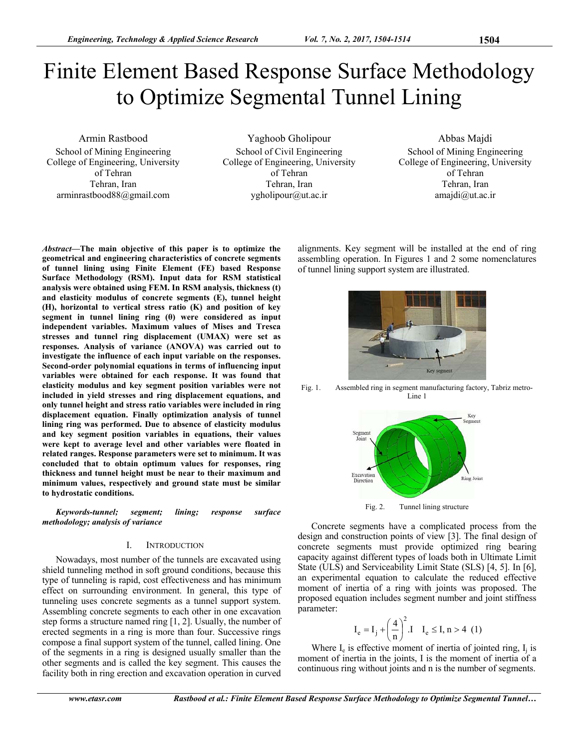# Finite Element Based Response Surface Methodology to Optimize Segmental Tunnel Lining

Armin Rastbood School of Mining Engineering College of Engineering, University of Tehran Tehran, Iran arminrastbood88@gmail.com

Yaghoob Gholipour School of Civil Engineering College of Engineering, University of Tehran Tehran, Iran ygholipour@ut.ac.ir

Abbas Majdi School of Mining Engineering College of Engineering, University of Tehran Tehran, Iran amajdi@ut.ac.ir

*Abstract***—The main objective of this paper is to optimize the geometrical and engineering characteristics of concrete segments of tunnel lining using Finite Element (FE) based Response Surface Methodology (RSM). Input data for RSM statistical analysis were obtained using FEM. In RSM analysis, thickness (t) and elasticity modulus of concrete segments (E), tunnel height (H), horizontal to vertical stress ratio (K) and position of key segment in tunnel lining ring (θ) were considered as input independent variables. Maximum values of Mises and Tresca stresses and tunnel ring displacement (UMAX) were set as responses. Analysis of variance (ANOVA) was carried out to investigate the influence of each input variable on the responses. Second-order polynomial equations in terms of influencing input variables were obtained for each response. It was found that elasticity modulus and key segment position variables were not included in yield stresses and ring displacement equations, and only tunnel height and stress ratio variables were included in ring displacement equation. Finally optimization analysis of tunnel lining ring was performed. Due to absence of elasticity modulus and key segment position variables in equations, their values were kept to average level and other variables were floated in related ranges. Response parameters were set to minimum. It was concluded that to obtain optimum values for responses, ring thickness and tunnel height must be near to their maximum and minimum values, respectively and ground state must be similar to hydrostatic conditions.** 

*Keywords-tunnel; segment; lining; response surface methodology; analysis of variance* 

## I. INTRODUCTION

Nowadays, most number of the tunnels are excavated using shield tunneling method in soft ground conditions, because this type of tunneling is rapid, cost effectiveness and has minimum effect on surrounding environment. In general, this type of tunneling uses concrete segments as a tunnel support system. Assembling concrete segments to each other in one excavation step forms a structure named ring [1, 2]. Usually, the number of erected segments in a ring is more than four. Successive rings compose a final support system of the tunnel, called lining. One of the segments in a ring is designed usually smaller than the other segments and is called the key segment. This causes the facility both in ring erection and excavation operation in curved



alignments. Key segment will be installed at the end of ring assembling operation. In Figures 1 and 2 some nomenclatures

of tunnel lining support system are illustrated.

Fig. 1. Assembled ring in segment manufacturing factory, Tabriz metro-Line 1

Key segn



Concrete segments have a complicated process from the design and construction points of view [3]. The final design of concrete segments must provide optimized ring bearing capacity against different types of loads both in Ultimate Limit State (ULS) and Serviceability Limit State (SLS) [4, 5]. In [6], an experimental equation to calculate the reduced effective moment of inertia of a ring with joints was proposed. The proposed equation includes segment number and joint stiffness parameter:

$$
I_e = I_j + \left(\frac{4}{n}\right)^2 \text{ J} \quad I_e \le I, n > 4 \ (1)
$$

Where  $I_e$  is effective moment of inertia of jointed ring,  $I_i$  is moment of inertia in the joints, I is the moment of inertia of a continuous ring without joints and n is the number of segments.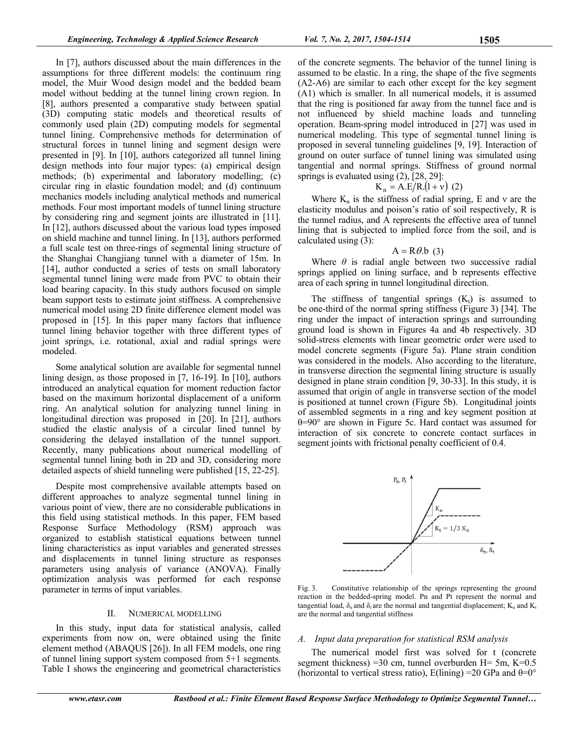In [7], authors discussed about the main differences in the assumptions for three different models: the continuum ring model, the Muir Wood design model and the bedded beam model without bedding at the tunnel lining crown region. In [8], authors presented a comparative study between spatial (3D) computing static models and theoretical results of commonly used plain (2D) computing models for segmental tunnel lining. Comprehensive methods for determination of structural forces in tunnel lining and segment design were presented in [9]. In [10], authors categorized all tunnel lining design methods into four major types: (a) empirical design methods; (b) experimental and laboratory modelling; (c) circular ring in elastic foundation model; and (d) continuum mechanics models including analytical methods and numerical methods. Four most important models of tunnel lining structure by considering ring and segment joints are illustrated in [11]. In [12], authors discussed about the various load types imposed on shield machine and tunnel lining. In [13], authors performed a full scale test on three-rings of segmental lining structure of the Shanghai Changjiang tunnel with a diameter of 15m. In [14], author conducted a series of tests on small laboratory segmental tunnel lining were made from PVC to obtain their load bearing capacity. In this study authors focused on simple beam support tests to estimate joint stiffness. A comprehensive numerical model using 2D finite difference element model was proposed in [15]. In this paper many factors that influence tunnel lining behavior together with three different types of joint springs, i.e. rotational, axial and radial springs were modeled.

Some analytical solution are available for segmental tunnel lining design, as those proposed in [7, 16-19]. In [10], authors introduced an analytical equation for moment reduction factor based on the maximum horizontal displacement of a uniform ring. An analytical solution for analyzing tunnel lining in longitudinal direction was proposed in [20]. In [21], authors studied the elastic analysis of a circular lined tunnel by considering the delayed installation of the tunnel support. Recently, many publications about numerical modelling of segmental tunnel lining both in 2D and 3D, considering more detailed aspects of shield tunneling were published [15, 22-25].

Despite most comprehensive available attempts based on different approaches to analyze segmental tunnel lining in various point of view, there are no considerable publications in this field using statistical methods. In this paper, FEM based Response Surface Methodology (RSM) approach was organized to establish statistical equations between tunnel lining characteristics as input variables and generated stresses and displacements in tunnel lining structure as responses parameters using analysis of variance (ANOVA). Finally optimization analysis was performed for each response parameter in terms of input variables.

# II. NUMERICAL MODELLING

In this study, input data for statistical analysis, called experiments from now on, were obtained using the finite element method (ABAQUS [26]). In all FEM models, one ring of tunnel lining support system composed from 5+1 segments. Table I shows the engineering and geometrical characteristics

of the concrete segments. The behavior of the tunnel lining is assumed to be elastic. In a ring, the shape of the five segments (A2-A6) are similar to each other except for the key segment (A1) which is smaller. In all numerical models, it is assumed that the ring is positioned far away from the tunnel face and is not influenced by shield machine loads and tunneling operation. Beam-spring model introduced in [27] was used in numerical modeling. This type of segmental tunnel lining is proposed in several tunneling guidelines [9, 19]. Interaction of ground on outer surface of tunnel lining was simulated using tangential and normal springs. Stiffness of ground normal springs is evaluated using  $(2)$ ,  $[28, 29]$ :

$$
K_n = A.E/R.(1 + v)
$$
 (2)

Where  $K_n$  is the stiffness of radial spring, E and v are the elasticity modulus and poison's ratio of soil respectively, R is the tunnel radius, and A represents the effective area of tunnel lining that is subjected to implied force from the soil, and is calculated using (3):

## $A = R\theta$ .b (3)

Where  $\theta$  is radial angle between two successive radial springs applied on lining surface, and b represents effective area of each spring in tunnel longitudinal direction.

The stiffness of tangential springs  $(K_t)$  is assumed to be one-third of the normal spring stiffness (Figure 3) [34]. The ring under the impact of interaction springs and surrounding ground load is shown in Figures 4a and 4b respectively. 3D solid-stress elements with linear geometric order were used to model concrete segments (Figure 5a). Plane strain condition was considered in the models. Also according to the literature, in transverse direction the segmental lining structure is usually designed in plane strain condition [9, 30-33]. In this study, it is assumed that origin of angle in transverse section of the model is positioned at tunnel crown (Figure 5b). Longitudinal joints of assembled segments in a ring and key segment position at θ=90° are shown in Figure 5c. Hard contact was assumed for interaction of six concrete to concrete contact surfaces in segment joints with frictional penalty coefficient of 0.4.



Fig. 3. Constitutive relationship of the springs representing the ground reaction in the bedded-spring model. Pn and Pt represent the normal and tangential load,  $\delta_n$  and  $\delta_t$  are the normal and tangential displacement;  $K_n$  and  $K_t$ are the normal and tangential stiffness

## *A. Input data preparation for statistical RSM analysis*

The numerical model first was solved for t (concrete segment thickness) =30 cm, tunnel overburden H= 5m,  $K=0.5$ (horizontal to vertical stress ratio),  $E(\text{lining}) = 20 \text{ GPa}$  and  $\theta = 0^{\circ}$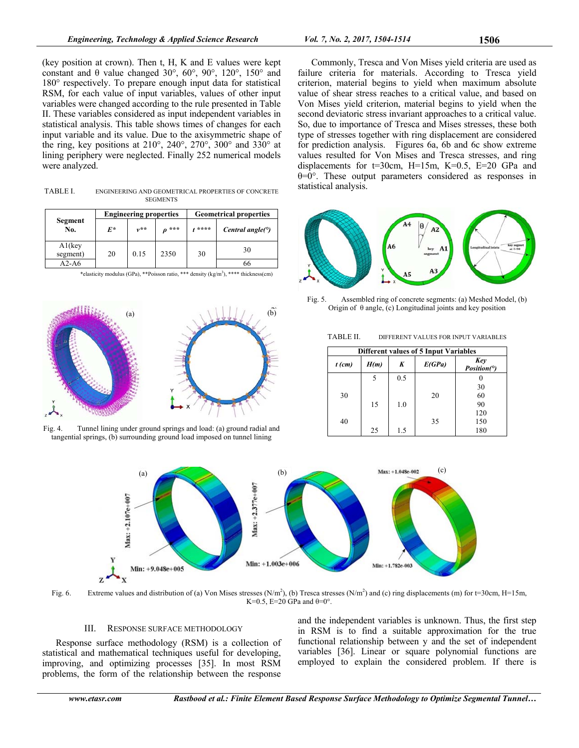(key position at crown). Then t, H, K and E values were kept constant and θ value changed 30°, 60°, 90°, 120°, 150° and 180° respectively. To prepare enough input data for statistical RSM, for each value of input variables, values of other input variables were changed according to the rule presented in Table II. These variables considered as input independent variables in statistical analysis. This table shows times of changes for each input variable and its value. Due to the axisymmetric shape of the ring, key positions at 210°, 240°, 270°, 300° and 330° at lining periphery were neglected. Finally 252 numerical models were analyzed.

TABLE I. ENGINEERING AND GEOMETRICAL PROPERTIES OF CONCRETE **SEGMENTS** 

| Segment<br>No.        |       | <b>Engineering properties</b> |      | <b>Geometrical properties</b> |                            |  |
|-----------------------|-------|-------------------------------|------|-------------------------------|----------------------------|--|
|                       | $F^*$ | $1, * *$                      | ***  | ****                          | Central angle( $\degree$ ) |  |
| $A1$ (key<br>segment) | 20    | 0.15                          | 2350 | 30                            | 30                         |  |
| $A2-A6$               |       |                               |      |                               |                            |  |

\*elasticity modulus (GPa), \*\*Poisson ratio, \*\*\* density (kg/m<sup>3</sup>), \*\*\*\* thickness(cm)



Fig. 4. Tunnel lining under ground springs and load: (a) ground radial and tangential springs, (b) surrounding ground load imposed on tunnel lining

Commonly, Tresca and Von Mises yield criteria are used as failure criteria for materials. According to Tresca yield criterion, material begins to yield when maximum absolute value of shear stress reaches to a critical value, and based on Von Mises yield criterion, material begins to yield when the second deviatoric stress invariant approaches to a critical value. So, due to importance of Tresca and Mises stresses, these both type of stresses together with ring displacement are considered for prediction analysis. Figures 6a, 6b and 6c show extreme values resulted for Von Mises and Tresca stresses, and ring displacements for  $t=30$ cm,  $H=15$ m,  $K=0.5$ ,  $E=20$  GPa and θ=0°. These output parameters considered as responses in statistical analysis.



Fig. 5. Assembled ring of concrete segments: (a) Meshed Model, (b) Origin of  $\theta$  angle, (c) Longitudinal joints and key position

TABLE II. DIFFERENT VALUES FOR INPUT VARIABLES

|          | <b>Different values of 5 Input Variables</b> |     |        |                    |  |  |  |  |  |
|----------|----------------------------------------------|-----|--------|--------------------|--|--|--|--|--|
| $t$ (cm) | H(m)                                         | K   | E(GPa) | Key<br>Position(°) |  |  |  |  |  |
|          | 5                                            | 0.5 |        |                    |  |  |  |  |  |
|          |                                              |     |        | 30                 |  |  |  |  |  |
| 30       |                                              |     | 20     | 60                 |  |  |  |  |  |
|          | 15                                           | 1.0 |        | 90                 |  |  |  |  |  |
|          |                                              |     |        | 120                |  |  |  |  |  |
| 40       |                                              |     | 35     | 150                |  |  |  |  |  |
|          | 25                                           | 1.5 |        | 180                |  |  |  |  |  |



Fig. 6. Extreme values and distribution of (a) Von Mises stresses (N/m<sup>2</sup>), (b) Tresca stresses (N/m<sup>2</sup>) and (c) ring displacements (m) for t=30cm, H=15m, K=0.5, E=20 GPa and  $\theta$ =0°.

# III. RESPONSE SURFACE METHODOLOGY

Response surface methodology (RSM) is a collection of statistical and mathematical techniques useful for developing, improving, and optimizing processes [35]. In most RSM problems, the form of the relationship between the response

and the independent variables is unknown. Thus, the first step in RSM is to find a suitable approximation for the true functional relationship between y and the set of independent variables [36]. Linear or square polynomial functions are employed to explain the considered problem. If there is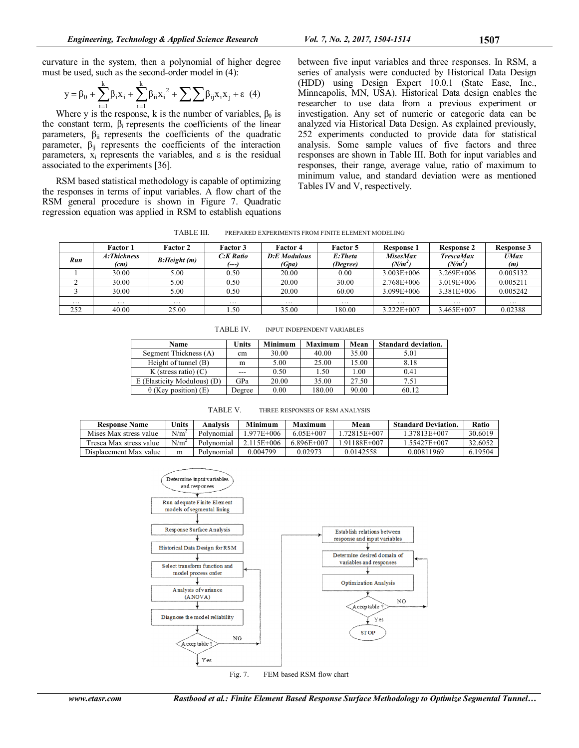curvature in the system, then a polynomial of higher degree must be used, such as the second-order model in (4):

$$
y = \beta_0 + \sum_{i=1}^{k} \beta_i x_i + \sum_{i=1}^{k} \beta_{ii} x_i^2 + \sum_{i=1}^{k} \beta_{ij} x_i x_j + \varepsilon
$$
 (4)

Where y is the response, k is the number of variables,  $\beta_0$  is the constant term,  $\beta_i$  represents the coefficients of the linear parameters,  $\beta_{ii}$  represents the coefficients of the quadratic parameter,  $\beta_{ij}$  represents the coefficients of the interaction parameters,  $x_i$  represents the variables, and  $\varepsilon$  is the residual associated to the experiments [36].

RSM based statistical methodology is capable of optimizing the responses in terms of input variables. A flow chart of the RSM general procedure is shown in Figure 7. Quadratic regression equation was applied in RSM to establish equations

between five input variables and three responses. In RSM, a series of analysis were conducted by Historical Data Design (HDD) using Design Expert 10.0.1 (State Ease, Inc., Minneapolis, MN, USA). Historical Data design enables the researcher to use data from a previous experiment or investigation. Any set of numeric or categoric data can be analyzed via Historical Data Design. As explained previously, 252 experiments conducted to provide data for statistical analysis. Some sample values of five factors and three responses are shown in Table III. Both for input variables and responses, their range, average value, ratio of maximum to minimum value, and standard deviation were as mentioned Tables IV and V, respectively.

TABLE III. PREPARED EXPERIMENTS FROM FINITE ELEMENT MODELING

|          | Factor 1    | <b>Factor 2</b> | <b>Factor 3</b> | <b>Factor 4</b>     | <b>Factor 5</b> | Response 1      | <b>Response 2</b>   | <b>Response 3</b> |
|----------|-------------|-----------------|-----------------|---------------------|-----------------|-----------------|---------------------|-------------------|
| Run      | A:Thickness | B:Height (m)    | C:K Ratio       | <b>D:E</b> Modulous | E:Theta         | <b>MisesMax</b> | <b>TrescaMax</b>    | UMax              |
|          | (cm)        |                 | (---)           | (Gpa)               | (Degree)        | (N/m $^2$       | (N/m <sup>2</sup> ) | (m)               |
|          | 30.00       | 5.00            | 0.50            | 20.00               | 0.00            | $3.003E + 006$  | 3.269E+006          | 0.005132          |
|          | 30.00       | 5.00            | 0.50            | 20.00               | 30.00           | 2.768E+006      | $3.019E + 006$      | 0.005211          |
|          | 30.00       | 5.00            | 0.50            | 20.00               | 60.00           | 3.099E+006      | 3.381E+006          | 0.005242          |
| $\cdots$ | $\cdots$    | $\cdots$        | $\cdots$        | $\cdots$            | $\cdots$        | $\cdots$        | $\cdots$            | $\cdots$          |
| 252      | 40.00       | 25.00           | 1.50            | 35.00               | 180.00          | 3.222E+007      | 3.465E+007          | 0.02388           |

TABLE IV. INPUT INDEPENDENT VARIABLES

| <b>Name</b>                 | Units  | Minimum | <b>Maximum</b> | Mean  | <b>Standard deviation.</b> |
|-----------------------------|--------|---------|----------------|-------|----------------------------|
| Segment Thickness (A)       | cm     | 30.00   | 40.00          | 35.00 | 5.01                       |
| Height of tunnel (B)        | m      | 5.00    | 25.00          | 15.00 | 8.18                       |
| K (stress ratio) $(C)$      | $---$  | 0.50    | 1.50           | .00   | 0.41                       |
| E (Elasticity Modulous) (D) | GPa    | 20.00   | 35.00          | 27.50 | 7.51                       |
| $\theta$ (Key position) (E) | Degree | 0.00    | 180.00         | 90.00 | 60.12                      |

TABLE V. THREE RESPONSES OF RSM ANALYSIS

| <b>Response Name</b>    | Units   | Analvsis   | Minimum        | Maximum   | Mean       | <b>Standard Deviation.</b> | <b>Ratio</b> |
|-------------------------|---------|------------|----------------|-----------|------------|----------------------------|--------------|
| Mises Max stress value  | $N/m^2$ | Polynomial | 977E+006       | 6.05E+007 | 72815E+007 | i 37813E+007               | 30.6019      |
| Tresca Max stress value | $N/m^2$ | Polynomial | $2.115E + 006$ | 6896E+007 | 91188E+007 | L55427E+007                | 32.6052      |
| Displacement Max value  | m       | Polynomial | 0.004799       | 0.02973   | 0.0142558  | 0.00811969                 | 6.19504      |



Fig. 7. FEM based RSM flow chart

www.etasr.com Rastbood et al.: Finite Element Based Response Surface Methodology to Optimize Segmental Tunnel...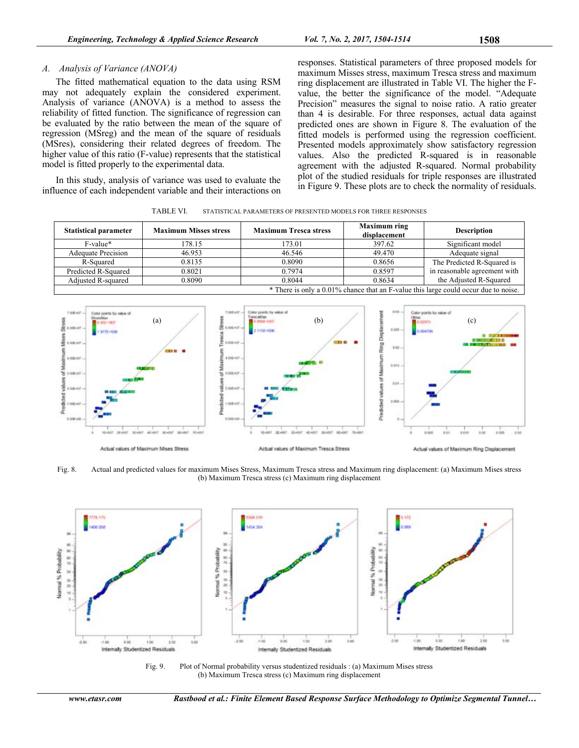# *A. Analysis of Variance (ANOVA)*

The fitted mathematical equation to the data using RSM may not adequately explain the considered experiment. Analysis of variance (ANOVA) is a method to assess the reliability of fitted function. The significance of regression can be evaluated by the ratio between the mean of the square of regression (MSreg) and the mean of the square of residuals (MSres), considering their related degrees of freedom. The higher value of this ratio (F-value) represents that the statistical model is fitted properly to the experimental data.

In this study, analysis of variance was used to evaluate the influence of each independent variable and their interactions on responses. Statistical parameters of three proposed models for maximum Misses stress, maximum Tresca stress and maximum ring displacement are illustrated in Table VI. The higher the Fvalue, the better the significance of the model. "Adequate Precision" measures the signal to noise ratio. A ratio greater than 4 is desirable. For three responses, actual data against predicted ones are shown in Figure 8. The evaluation of the fitted models is performed using the regression coefficient. Presented models approximately show satisfactory regression values. Also the predicted R-squared is in reasonable agreement with the adjusted R-squared. Normal probability plot of the studied residuals for triple responses are illustrated in Figure 9. These plots are to check the normality of residuals.

| <b>Statistical parameter</b>                                                        | <b>Maximum Misses stress</b> | <b>Maximum Tresca stress</b> | <b>Maximum ring</b><br>displacement | <b>Description</b>           |  |  |  |
|-------------------------------------------------------------------------------------|------------------------------|------------------------------|-------------------------------------|------------------------------|--|--|--|
| F-value*                                                                            | 178.15                       | 173.01                       | 397.62                              | Significant model            |  |  |  |
| <b>Adequate Precision</b>                                                           | 46.953                       | 46.546                       | 49.470                              | Adequate signal              |  |  |  |
| R-Squared                                                                           | 0.8135                       | 0.8090                       | 0.8656                              | The Predicted R-Squared is   |  |  |  |
| Predicted R-Squared                                                                 | 0.8021                       | 0.7974                       | 0.8597                              | in reasonable agreement with |  |  |  |
| Adjusted R-squared                                                                  | 0.8090                       | 0.8044                       | 0.8634                              | the Adjusted R-Squared       |  |  |  |
| * There is only a 0.01% chance that an F-value this large could occur due to noise. |                              |                              |                                     |                              |  |  |  |



Fig. 8. Actual and predicted values for maximum Mises Stress, Maximum Tresca stress and Maximum ring displacement: (a) Maximum Mises stress (b) Maximum Tresca stress (c) Maximum ring displacement



Fig. 9. Plot of Normal probability versus studentized residuals : (a) Maximum Mises stress (b) Maximum Tresca stress (c) Maximum ring displacement

*www.etasr.com Rastbood et al.: Finite Element Based Response Surface Methodology to Optimize Segmental Tunnel…*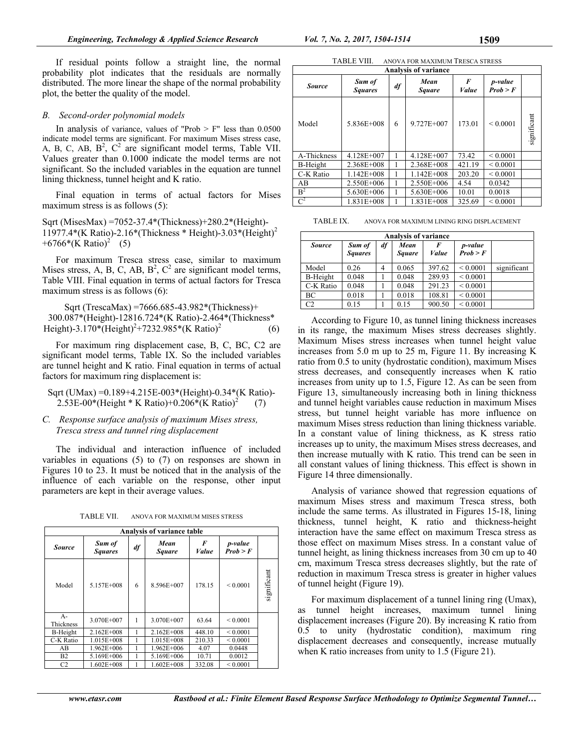If residual points follow a straight line, the normal probability plot indicates that the residuals are normally distributed. The more linear the shape of the normal probability plot, the better the quality of the model.

## *B. Second-order polynomial models*

In analysis of variance, values of "Prob  $>$  F" less than 0.0500 indicate model terms are significant. For maximum Mises stress case, A, B, C, AB,  $B^2$ ,  $C^2$  are significant model terms, Table VII. Values greater than 0.1000 indicate the model terms are not significant. So the included variables in the equation are tunnel lining thickness, tunnel height and K ratio.

Final equation in terms of actual factors for Mises maximum stress is as follows  $(5)$ :

Sqrt (MisesMax) =7052-37.4\*(Thickness)+280.2\*(Height)- 11977.4\*(K Ratio)-2.16\*(Thickness \* Height)-3.03\*(Height)<sup>2</sup>  $+6766*(K \text{ Ratio})^2$  (5)

For maximum Tresca stress case, similar to maximum Mises stress, A, B, C, AB,  $B^2$ ,  $C^2$  are significant model terms, Table VIII. Final equation in terms of actual factors for Tresca maximum stress is as follows (6):

Sqrt (TrescaMax) =7666.685-43.982\*(Thickness)+ 300.087\*(Height)-12816.724\*(K Ratio)-2.464\*(Thickness\* Height)-3.170\*(Height)2 +7232.985\*(K Ratio)<sup>2</sup> (6)

For maximum ring displacement case, B, C, BC, C2 are significant model terms, Table IX. So the included variables are tunnel height and K ratio. Final equation in terms of actual factors for maximum ring displacement is:

Sqrt (UMax) =0.189+4.215E-003\*(Height)-0.34\*(K Ratio)- 2.53E-00\*(Height \* K Ratio)+0.206\*(K Ratio)<sup>2</sup> (7)

# *C. Response surface analysis of maximum Mises stress, Tresca stress and tunnel ring displacement*

The individual and interaction influence of included variables in equations (5) to (7) on responses are shown in Figures 10 to 23. It must be noticed that in the analysis of the influence of each variable on the response, other input parameters are kept in their average values.

TABLE VII. ANOVA FOR MAXIMUM MISES STRESS

|                   | <b>Analysis of variance table</b> |    |                       |                   |                     |             |  |  |  |
|-------------------|-----------------------------------|----|-----------------------|-------------------|---------------------|-------------|--|--|--|
| <b>Source</b>     | Sum of<br><b>Squares</b>          | df | Mean<br><b>Square</b> | F<br><i>Value</i> | p-value<br>Prob > F |             |  |  |  |
| Model             | 5.157E+008                        | 6  | 8.596E+007            | 178.15            | < 0.0001            | significant |  |  |  |
| $A-$<br>Thickness | 3.070E+007                        | 1  | 3.070E+007            | 63.64             | ${}_{0.0001}$       |             |  |  |  |
| B-Height          | $2.162E + 008$                    |    | $2.162E + 008$        | 448.10            | ${}_{0.0001}$       |             |  |  |  |
| C-K Ratio         | 1.015E+008                        |    | 1.015E+008            | 210.33            | ${}< 0.0001$        |             |  |  |  |
| AB                | 1.962E+006                        | 1  | 1.962E+006            | 4.07              | 0.0448              |             |  |  |  |
| B2                | 5.169E+006                        | 1  | 5.169E+006            | 10.71             | 0.0012              |             |  |  |  |
| C <sub>2</sub>    | $1.602E + 008$                    |    | $1.602E + 008$        | 332.08            | ${}_{0.0001}$       |             |  |  |  |

| <b>TABLE VIII</b> | ANOVA FOR MAXIMUM TRESCA STRESS |
|-------------------|---------------------------------|
|                   |                                 |

| <b>Analysis of variance</b> |                          |                             |            |            |                     |             |  |  |  |
|-----------------------------|--------------------------|-----------------------------|------------|------------|---------------------|-------------|--|--|--|
| <i>Source</i>               | Sum of<br><b>Squares</b> | Mean<br>df<br><b>Square</b> |            | F<br>Value | p-value<br>Prob > F |             |  |  |  |
| Model                       | 5.836E+008               | 6                           | 9.727E+007 | 173.01     | < 0.0001            | significant |  |  |  |
| A-Thickness                 | 4.128E+007               |                             | 4.128E+007 | 73.42      | ${}_{0.0001}$       |             |  |  |  |
| B-Height                    | 2.368E+008               |                             | 2.368E+008 | 421.19     | ${}_{0.0001}$       |             |  |  |  |
| C-K Ratio                   | 1.142E+008               |                             | 1.142E+008 | 203.20     | ${}_{0.0001}$       |             |  |  |  |
| AB                          | 2.550E+006               |                             | 2.550E+006 | 4.54       | 0.0342              |             |  |  |  |
| B <sup>2</sup>              | 5.630E+006               |                             | 5.630E+006 | 10.01      | 0.0018              |             |  |  |  |
| $C^2$                       | 1.831E+008               |                             | 1.831E+008 | 325.69     | ${}_{0.0001}$       |             |  |  |  |

TABLE IX. ANOVA FOR MAXIMUM LINING RING DISPLACEMENT

| <b>Analysis of variance</b> |                          |    |                |                   |                     |             |  |  |
|-----------------------------|--------------------------|----|----------------|-------------------|---------------------|-------------|--|--|
| <b>Source</b>               | Sum of<br><b>Squares</b> | df | Mean<br>Square | F<br><b>Value</b> | p-value<br>Prob > F |             |  |  |
| Model                       | 0.26                     | 4  | 0.065          | 397.62            | ${}_{0.0001}$       | significant |  |  |
| B-Height                    | 0.048                    |    | 0.048          | 289.93            | ${}_{0.0001}$       |             |  |  |
| C-K Ratio                   | 0.048                    |    | 0.048          | 291.23            | ${}_{0.0001}$       |             |  |  |
| BC                          | 0.018                    |    | 0.018          | 108.81            | ${}_{0.0001}$       |             |  |  |
| C <sub>2</sub>              | 0.15                     |    | 0.15           | 900.50            | ${}_{0.0001}$       |             |  |  |

According to Figure 10, as tunnel lining thickness increases in its range, the maximum Mises stress decreases slightly. Maximum Mises stress increases when tunnel height value increases from 5.0 m up to 25 m, Figure 11. By increasing K ratio from 0.5 to unity (hydrostatic condition), maximum Mises stress decreases, and consequently increases when K ratio increases from unity up to 1.5, Figure 12. As can be seen from Figure 13, simultaneously increasing both in lining thickness and tunnel height variables cause reduction in maximum Mises stress, but tunnel height variable has more influence on maximum Mises stress reduction than lining thickness variable. In a constant value of lining thickness, as K stress ratio increases up to unity, the maximum Mises stress decreases, and then increase mutually with K ratio. This trend can be seen in all constant values of lining thickness. This effect is shown in Figure 14 three dimensionally.

Analysis of variance showed that regression equations of maximum Mises stress and maximum Tresca stress, both include the same terms. As illustrated in Figures 15-18, lining thickness, tunnel height, K ratio and thickness-height interaction have the same effect on maximum Tresca stress as those effect on maximum Mises stress. In a constant value of tunnel height, as lining thickness increases from 30 cm up to 40 cm, maximum Tresca stress decreases slightly, but the rate of reduction in maximum Tresca stress is greater in higher values of tunnel height (Figure 19).

For maximum displacement of a tunnel lining ring (Umax), as tunnel height increases, maximum tunnel lining displacement increases (Figure 20). By increasing K ratio from 0.5 to unity (hydrostatic condition), maximum ring displacement decreases and consequently, increase mutually when K ratio increases from unity to 1.5 (Figure 21).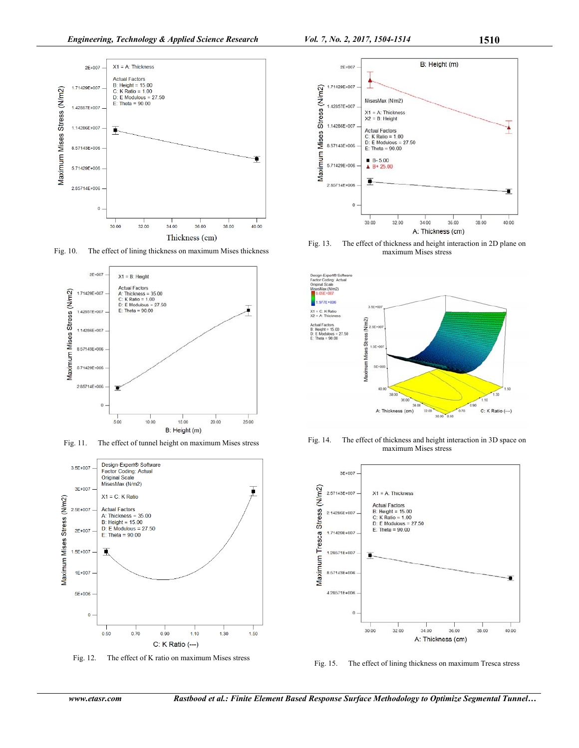

Fig. 10. The effect of lining thickness on maximum Mises thickness



Fig. 11. The effect of tunnel height on maximum Mises stress



Fig. 12. The effect of K ratio on maximum Mises stress



Fig. 13. The effect of thickness and height interaction in 2D plane on maximum Mises stress



Fig. 14. The effect of thickness and height interaction in 3D space on maximum Mises stress



Fig. 15. The effect of lining thickness on maximum Tresca stress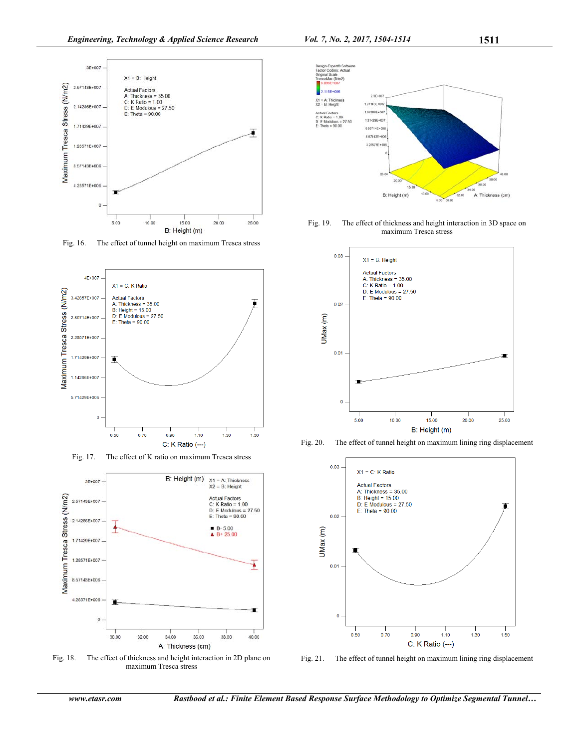

Fig. 16. The effect of tunnel height on maximum Tresca stress



Fig. 17. The effect of K ratio on maximum Tresca stress



Fig. 18. The effect of thickness and height interaction in 2D plane on maximum Tresca stress



Fig. 19. The effect of thickness and height interaction in 3D space on maximum Tresca stress



Fig. 20. The effect of tunnel height on maximum lining ring displacement



Fig. 21. The effect of tunnel height on maximum lining ring displacement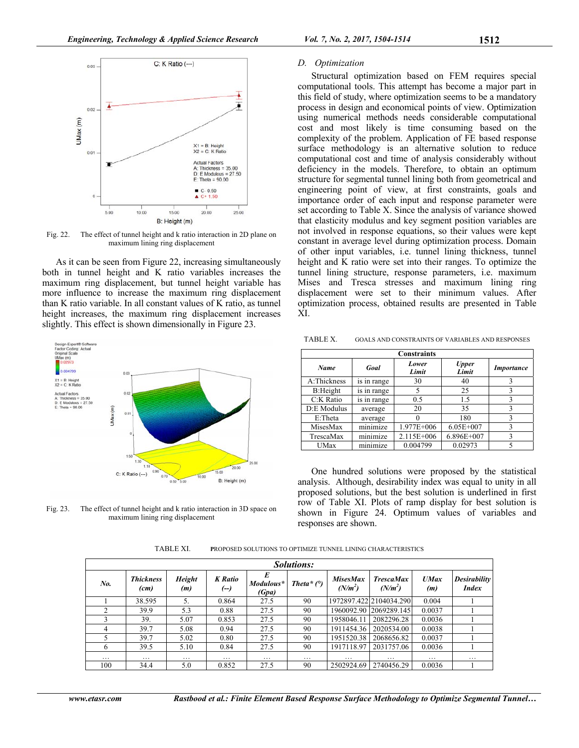

Fig. 22. The effect of tunnel height and k ratio interaction in 2D plane on maximum lining ring displacement

As it can be seen from Figure 22, increasing simultaneously both in tunnel height and K ratio variables increases the maximum ring displacement, but tunnel height variable has more influence to increase the maximum ring displacement than K ratio variable. In all constant values of K ratio, as tunnel height increases, the maximum ring displacement increases slightly. This effect is shown dimensionally in Figure 23.



Fig. 23. The effect of tunnel height and k ratio interaction in 3D space on maximum lining ring displacement

#### *D. Optimization*

Structural optimization based on FEM requires special computational tools. This attempt has become a major part in this field of study, where optimization seems to be a mandatory process in design and economical points of view. Optimization using numerical methods needs considerable computational cost and most likely is time consuming based on the complexity of the problem. Application of FE based response surface methodology is an alternative solution to reduce computational cost and time of analysis considerably without deficiency in the models. Therefore, to obtain an optimum structure for segmental tunnel lining both from geometrical and engineering point of view, at first constraints, goals and importance order of each input and response parameter were set according to Table X. Since the analysis of variance showed that elasticity modulus and key segment position variables are not involved in response equations, so their values were kept constant in average level during optimization process. Domain of other input variables, i.e. tunnel lining thickness, tunnel height and K ratio were set into their ranges. To optimize the tunnel lining structure, response parameters, i.e. maximum Mises and Tresca stresses and maximum lining ring displacement were set to their minimum values. After optimization process, obtained results are presented in Table XI.

TABLE X. GOALS AND CONSTRAINTS OF VARIABLES AND RESPONSES

| <b>Constraints</b> |             |                |                       |                   |  |  |  |  |
|--------------------|-------------|----------------|-----------------------|-------------------|--|--|--|--|
| <b>Name</b>        | Goal        | Lower<br>Limit | <b>Upper</b><br>Limit | <b>Importance</b> |  |  |  |  |
| A:Thickness        | is in range | 30             | 40                    |                   |  |  |  |  |
| B:Height           | is in range | 5              | 25                    | 3                 |  |  |  |  |
| C:K Ratio          | is in range | 0.5            | 1.5                   |                   |  |  |  |  |
| D:E Modulus        | average     | 20             | 35                    |                   |  |  |  |  |
| E:Theta            | average     |                | 180                   | ٦                 |  |  |  |  |
| MisesMax           | minimize    | 1.977E+006     | $6.05E + 007$         | 3                 |  |  |  |  |
| TrescaMax          | minimize    | 2.115E+006     | 6.896E+007            | 3                 |  |  |  |  |
| UMax               | minimize    | 0.004799       | 0.02973               |                   |  |  |  |  |

One hundred solutions were proposed by the statistical analysis. Although, desirability index was equal to unity in all proposed solutions, but the best solution is underlined in first row of Table XI. Plots of ramp display for best solution is shown in Figure 24. Optimum values of variables and responses are shown.

TABLE XI. **P**ROPOSED SOLUTIONS TO OPTIMIZE TUNNEL LINING CHARACTERISTICS

| Solutions: |                          |                      |                        |                    |                   |                              |                               |             |                                     |
|------------|--------------------------|----------------------|------------------------|--------------------|-------------------|------------------------------|-------------------------------|-------------|-------------------------------------|
| No.        | <b>Thickness</b><br>(cm) | <b>Height</b><br>(m) | <b>K</b> Ratio<br>(--) | Modulous*<br>(Gpa) | Theta* $(^\circ)$ | <b>MisesMax</b><br>$(N/m^2)$ | <b>TrescaMax</b><br>$(N/m^2)$ | UMax<br>(m) | <b>Desirability</b><br><b>Index</b> |
|            | 38.595                   | 5.                   | 0.864                  | 27.5               | 90                |                              | 1972897.42212104034.290       | 0.004       |                                     |
|            | 39.9                     | 5.3                  | 0.88                   | 27.5               | 90                |                              | 1960092.90 2069289.145        | 0.0037      |                                     |
|            | 39.                      | 5.07                 | 0.853                  | 27.5               | 90                | 1958046.11                   | 2082296.28                    | 0.0036      |                                     |
| 4          | 39.7                     | 5.08                 | 0.94                   | 27.5               | 90                | 1911454.36                   | 2020534.00                    | 0.0038      |                                     |
|            | 39.7                     | 5.02                 | 0.80                   | 27.5               | 90                | 1951520.38                   | 2068656.82                    | 0.0037      |                                     |
| 6          | 39.5                     | 5.10                 | 0.84                   | 27.5               | 90                | 1917118.97                   | 2031757.06                    | 0.0036      |                                     |
| $\cdots$   | .                        | $\cdots$             | $\cdots$               | .                  | $\cdots$          | .                            | $\cdots$                      | $\cdots$    | $\cdots$                            |
| 100        | 34.4                     | 5.0                  | 0.852                  | 27.5               | 90                | 2502924.69                   | 2740456.29                    | 0.0036      |                                     |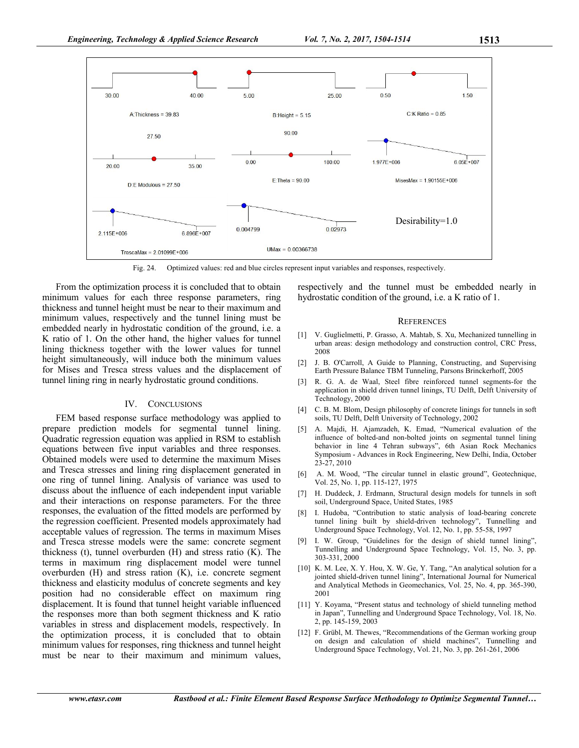

Fig. 24. Optimized values: red and blue circles represent input variables and responses, respectively.

From the optimization process it is concluded that to obtain minimum values for each three response parameters, ring thickness and tunnel height must be near to their maximum and minimum values, respectively and the tunnel lining must be embedded nearly in hydrostatic condition of the ground, i.e. a K ratio of 1. On the other hand, the higher values for tunnel lining thickness together with the lower values for tunnel height simultaneously, will induce both the minimum values for Mises and Tresca stress values and the displacement of tunnel lining ring in nearly hydrostatic ground conditions.

## IV. CONCLUSIONS

FEM based response surface methodology was applied to prepare prediction models for segmental tunnel lining. Quadratic regression equation was applied in RSM to establish equations between five input variables and three responses. Obtained models were used to determine the maximum Mises and Tresca stresses and lining ring displacement generated in one ring of tunnel lining. Analysis of variance was used to discuss about the influence of each independent input variable and their interactions on response parameters. For the three responses, the evaluation of the fitted models are performed by the regression coefficient. Presented models approximately had acceptable values of regression. The terms in maximum Mises and Tresca stresse models were the same: concrete segment thickness (t), tunnel overburden (H) and stress ratio (K). The terms in maximum ring displacement model were tunnel overburden (H) and stress ration (K), i.e. concrete segment thickness and elasticity modulus of concrete segments and key position had no considerable effect on maximum ring displacement. It is found that tunnel height variable influenced the responses more than both segment thickness and K ratio variables in stress and displacement models, respectively. In the optimization process, it is concluded that to obtain minimum values for responses, ring thickness and tunnel height must be near to their maximum and minimum values,

respectively and the tunnel must be embedded nearly in hydrostatic condition of the ground, i.e. a K ratio of 1.

#### **REFERENCES**

- [1] V. Guglielmetti, P. Grasso, A. Mahtab, S. Xu, Mechanized tunnelling in urban areas: design methodology and construction control, CRC Press, 2008
- [2] J. B. O'Carroll, A Guide to Planning, Constructing, and Supervising Earth Pressure Balance TBM Tunneling, Parsons Brinckerhoff, 2005
- [3] R. G. A. de Waal, Steel fibre reinforced tunnel segments-for the application in shield driven tunnel linings, TU Delft, Delft University of Technology, 2000
- [4] C. B. M. Blom, Design philosophy of concrete linings for tunnels in soft soils, TU Delft, Delft University of Technology, 2002
- [5] A. Majdi, H. Ajamzadeh, K. Emad, "Numerical evaluation of the influence of bolted-and non-bolted joints on segmental tunnel lining behavior in line 4 Tehran subways", 6th Asian Rock Mechanics Symposium - Advances in Rock Engineering, New Delhi, India, October 23-27, 2010
- [6] A. M. Wood, "The circular tunnel in elastic ground", Geotechnique, Vol. 25, No. 1, pp. 115-127, 1975
- [7] H. Duddeck, J. Erdmann, Structural design models for tunnels in soft soil, Underground Space, United States, 1985
- [8] I. Hudoba, "Contribution to static analysis of load-bearing concrete tunnel lining built by shield-driven technology", Tunnelling and Underground Space Technology, Vol. 12, No. 1, pp. 55-58, 1997
- [9] I. W. Group, "Guidelines for the design of shield tunnel lining", Tunnelling and Underground Space Technology, Vol. 15, No. 3, pp. 303-331, 2000
- [10] K. M. Lee, X. Y. Hou, X. W. Ge, Y. Tang, "An analytical solution for a jointed shield-driven tunnel lining", International Journal for Numerical and Analytical Methods in Geomechanics, Vol. 25, No. 4, pp. 365-390, 2001
- [11] Y. Koyama, "Present status and technology of shield tunneling method in Japan", Tunnelling and Underground Space Technology, Vol. 18, No. 2, pp. 145-159, 2003
- [12] F. Grübl, M. Thewes, "Recommendations of the German working group on design and calculation of shield machines", Tunnelling and Underground Space Technology, Vol. 21, No. 3, pp. 261-261, 2006